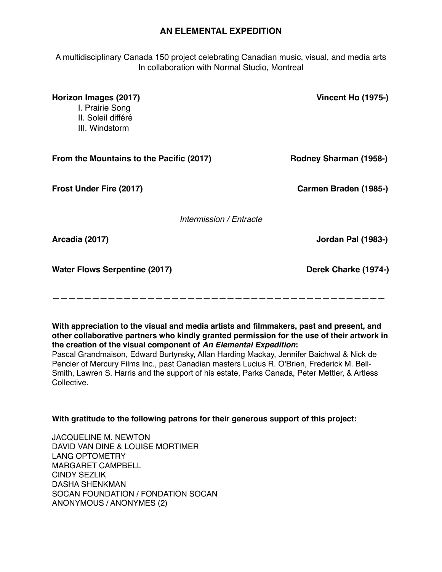## **AN ELEMENTAL EXPEDITION**

A multidisciplinary Canada 150 project celebrating Canadian music, visual, and media arts In collaboration with Normal Studio, Montreal

| Horizon Images (2017)<br>I. Prairie Song<br>II. Soleil différé<br>III. Windstorm | <b>Vincent Ho (1975-)</b> |
|----------------------------------------------------------------------------------|---------------------------|
| From the Mountains to the Pacific (2017)                                         | Rodney Sharman (1958-)    |
| Frost Under Fire (2017)                                                          | Carmen Braden (1985-)     |
| Intermission / Entracte                                                          |                           |
| Arcadia (2017)                                                                   | Jordan Pal (1983-)        |
| <b>Water Flows Serpentine (2017)</b>                                             | Derek Charke (1974-)      |
|                                                                                  |                           |

**With appreciation to the visual and media artists and filmmakers, past and present, and other collaborative partners who kindly granted permission for the use of their artwork in the creation of the visual component of** *An Elemental Expedition***:**

Pascal Grandmaison, Edward Burtynsky, Allan Harding Mackay, Jennifer Baichwal & Nick de Pencier of Mercury Films Inc., past Canadian masters Lucius R. O'Brien, Frederick M. Bell-Smith, Lawren S. Harris and the support of his estate, Parks Canada, Peter Mettler, & Artless Collective.

## **With gratitude to the following patrons for their generous support of this project:**

JACQUELINE M. NEWTON DAVID VAN DINE & LOUISE MORTIMER LANG OPTOMETRY MARGARET CAMPBELL CINDY SEZLIK DASHA SHENKMAN SOCAN FOUNDATION / FONDATION SOCAN ANONYMOUS / ANONYMES (2)